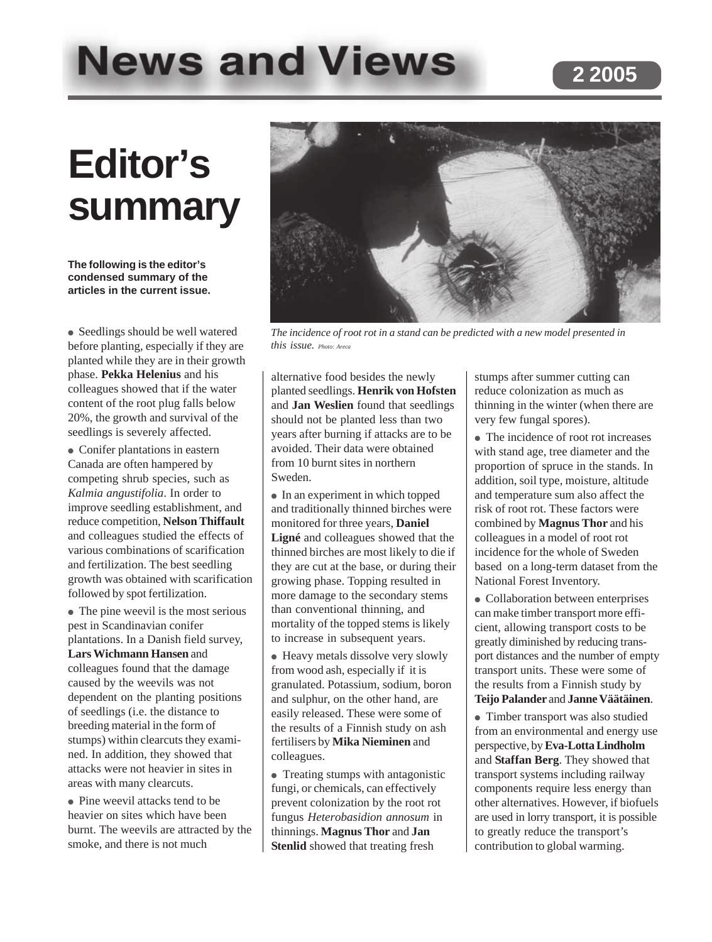# **News and Views**

# **Editor's summary**

**The following is the editor's condensed summary of the articles in the current issue.**

• Seedlings should be well watered before planting, especially if they are planted while they are in their growth phase. **Pekka Helenius** and his colleagues showed that if the water content of the root plug falls below 20%, the growth and survival of the seedlings is severely affected.

• Conifer plantations in eastern Canada are often hampered by competing shrub species, such as *Kalmia angustifolia*. In order to improve seedling establishment, and reduce competition, **Nelson Thiffault** and colleagues studied the effects of various combinations of scarification and fertilization. The best seedling growth was obtained with scarification followed by spot fertilization.

• The pine weevil is the most serious pest in Scandinavian conifer plantations. In a Danish field survey, **Lars Wichmann Hansen** and colleagues found that the damage caused by the weevils was not dependent on the planting positions of seedlings (i.e. the distance to breeding material in the form of stumps) within clearcuts they examined. In addition, they showed that attacks were not heavier in sites in areas with many clearcuts.

● Pine weevil attacks tend to be heavier on sites which have been burnt. The weevils are attracted by the smoke, and there is not much



*The incidence of root rot in a stand can be predicted with a new model presented in this issue. Photo: Areca*

alternative food besides the newly planted seedlings. **Henrik von Hofsten** and **Jan Weslien** found that seedlings should not be planted less than two years after burning if attacks are to be avoided. Their data were obtained from 10 burnt sites in northern Sweden.

 $\bullet$  In an experiment in which topped and traditionally thinned birches were monitored for three years, **Daniel Ligné** and colleagues showed that the thinned birches are most likely to die if they are cut at the base, or during their growing phase. Topping resulted in more damage to the secondary stems than conventional thinning, and mortality of the topped stems is likely to increase in subsequent years.

• Heavy metals dissolve very slowly from wood ash, especially if it is granulated. Potassium, sodium, boron and sulphur, on the other hand, are easily released. These were some of the results of a Finnish study on ash fertilisers by **Mika Nieminen** and colleagues.

● Treating stumps with antagonistic fungi, or chemicals, can effectively prevent colonization by the root rot fungus *Heterobasidion annosum* in thinnings. **Magnus Thor** and **Jan Stenlid** showed that treating fresh

stumps after summer cutting can reduce colonization as much as thinning in the winter (when there are very few fungal spores).

• The incidence of root rot increases with stand age, tree diameter and the proportion of spruce in the stands. In addition, soil type, moisture, altitude and temperature sum also affect the risk of root rot. These factors were combined by **Magnus Thor** and his colleagues in a model of root rot incidence for the whole of Sweden based on a long-term dataset from the National Forest Inventory.

● Collaboration between enterprises can make timber transport more efficient, allowing transport costs to be greatly diminished by reducing transport distances and the number of empty transport units. These were some of the results from a Finnish study by **Teijo Palander** and **Janne Väätäinen**.

● Timber transport was also studied from an environmental and energy use perspective, by **Eva-Lotta Lindholm** and **Staffan Berg**. They showed that transport systems including railway components require less energy than other alternatives. However, if biofuels are used in lorry transport, it is possible to greatly reduce the transport's contribution to global warming.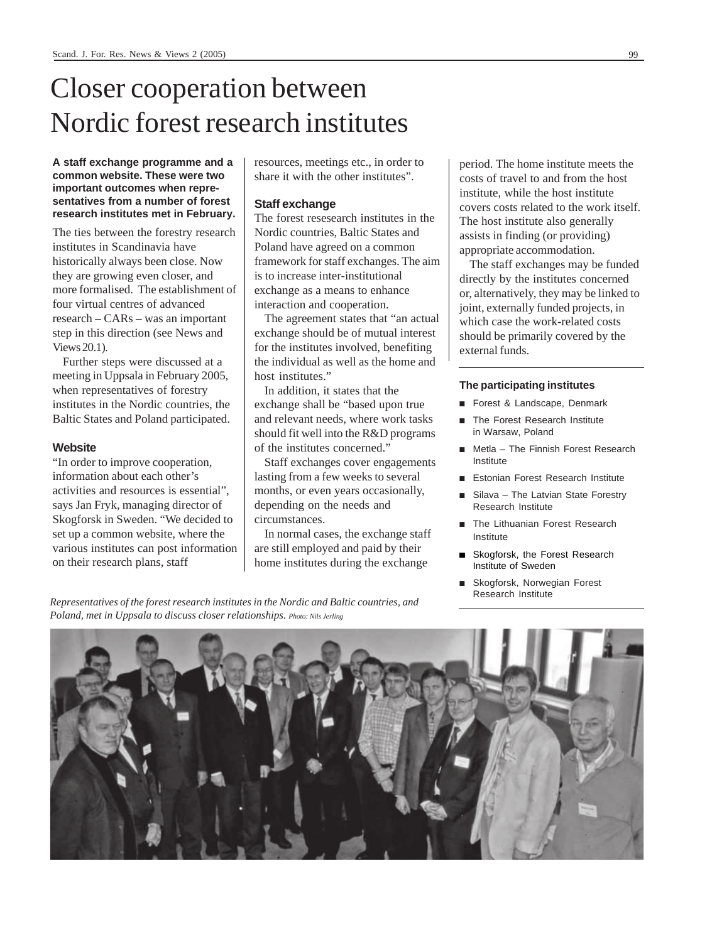# Closer cooperation between Nordic forest research institutes

### **A staff exchange programme and a common website. These were two important outcomes when representatives from a number of forest research institutes met in February.**

The ties between the forestry research institutes in Scandinavia have historically always been close. Now they are growing even closer, and more formalised. The establishment of four virtual centres of advanced research – CARs – was an important step in this direction (see News and Views 20.1).

Further steps were discussed at a meeting in Uppsala in February 2005, when representatives of forestry institutes in the Nordic countries, the Baltic States and Poland participated.

### **Website**

"In order to improve cooperation, information about each other's activities and resources is essential", says Jan Fryk, managing director of Skogforsk in Sweden. "We decided to set up a common website, where the various institutes can post information on their research plans, staff

resources, meetings etc., in order to share it with the other institutes".

### **Staff exchange**

The forest resesearch institutes in the Nordic countries, Baltic States and Poland have agreed on a common framework for staff exchanges. The aim is to increase inter-institutional exchange as a means to enhance interaction and cooperation.

The agreement states that "an actual exchange should be of mutual interest for the institutes involved, benefiting the individual as well as the home and host institutes."

In addition, it states that the exchange shall be "based upon true and relevant needs, where work tasks should fit well into the R&D programs of the institutes concerned."

Staff exchanges cover engagements lasting from a few weeks to several months, or even years occasionally, depending on the needs and circumstances.

In normal cases, the exchange staff are still employed and paid by their home institutes during the exchange

period. The home institute meets the costs of travel to and from the host institute, while the host institute covers costs related to the work itself. The host institute also generally assists in finding (or providing) appropriate accommodation.

The staff exchanges may be funded directly by the institutes concerned or, alternatively, they may be linked to joint, externally funded projects, in which case the work-related costs should be primarily covered by the external funds.

#### **The participating institutes**

- Forest & Landscape, Denmark
- The Forest Research Institute in Warsaw, Poland
- Metla The Finnish Forest Research Institute
- Estonian Forest Research Institute
- Silava The Latvian State Forestry Research Institute
- The Lithuanian Forest Research Institute
- Skogforsk, the Forest Research Institute of Sweden
- Skogforsk, Norwegian Forest Research Institute

*Representatives of the forest research institutes in the Nordic and Baltic countries, and Poland, met in Uppsala to discuss closer relationships. Photo: Nils Jerling*

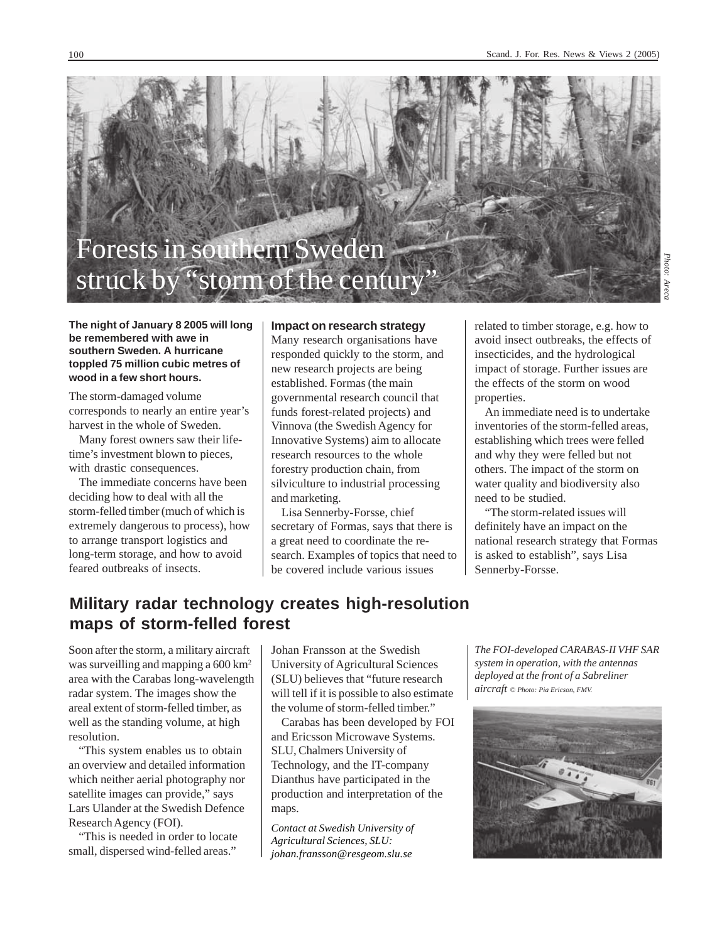

**The night of January 8 2005 will long be remembered with awe in southern Sweden. A hurricane toppled 75 million cubic metres of wood in a few short hours.**

The storm-damaged volume corresponds to nearly an entire year's harvest in the whole of Sweden.

Many forest owners saw their lifetime's investment blown to pieces, with drastic consequences.

The immediate concerns have been deciding how to deal with all the storm-felled timber (much of which is extremely dangerous to process), how to arrange transport logistics and long-term storage, and how to avoid feared outbreaks of insects.

### **Impact on research strategy**

Many research organisations have responded quickly to the storm, and new research projects are being established. Formas (the main governmental research council that funds forest-related projects) and Vinnova (the Swedish Agency for Innovative Systems) aim to allocate research resources to the whole forestry production chain, from silviculture to industrial processing and marketing.

Lisa Sennerby-Forsse, chief secretary of Formas, says that there is a great need to coordinate the research. Examples of topics that need to be covered include various issues

related to timber storage, e.g. how to avoid insect outbreaks, the effects of insecticides, and the hydrological impact of storage. Further issues are the effects of the storm on wood properties.

An immediate need is to undertake inventories of the storm-felled areas, establishing which trees were felled and why they were felled but not others. The impact of the storm on water quality and biodiversity also need to be studied.

"The storm-related issues will definitely have an impact on the national research strategy that Formas is asked to establish", says Lisa Sennerby-Forsse.

# **Military radar technology creates high-resolution maps of storm-felled forest**

Soon after the storm, a military aircraft was surveilling and mapping a 600 km<sup>2</sup> area with the Carabas long-wavelength radar system. The images show the areal extent of storm-felled timber, as well as the standing volume, at high resolution.

"This system enables us to obtain an overview and detailed information which neither aerial photography nor satellite images can provide," says Lars Ulander at the Swedish Defence Research Agency (FOI).

"This is needed in order to locate small, dispersed wind-felled areas."

Johan Fransson at the Swedish University of Agricultural Sciences (SLU) believes that "future research will tell if it is possible to also estimate the volume of storm-felled timber."

Carabas has been developed by FOI and Ericsson Microwave Systems. SLU, Chalmers University of Technology, and the IT-company Dianthus have participated in the production and interpretation of the maps.

*Contact at Swedish University of Agricultural Sciences, SLU: johan.fransson@resgeom.slu.se*

*The FOI-developed CARABAS-II VHF SAR system in operation, with the antennas deployed at the front of a Sabreliner aircraft © Photo: Pia Ericson, FMV.*

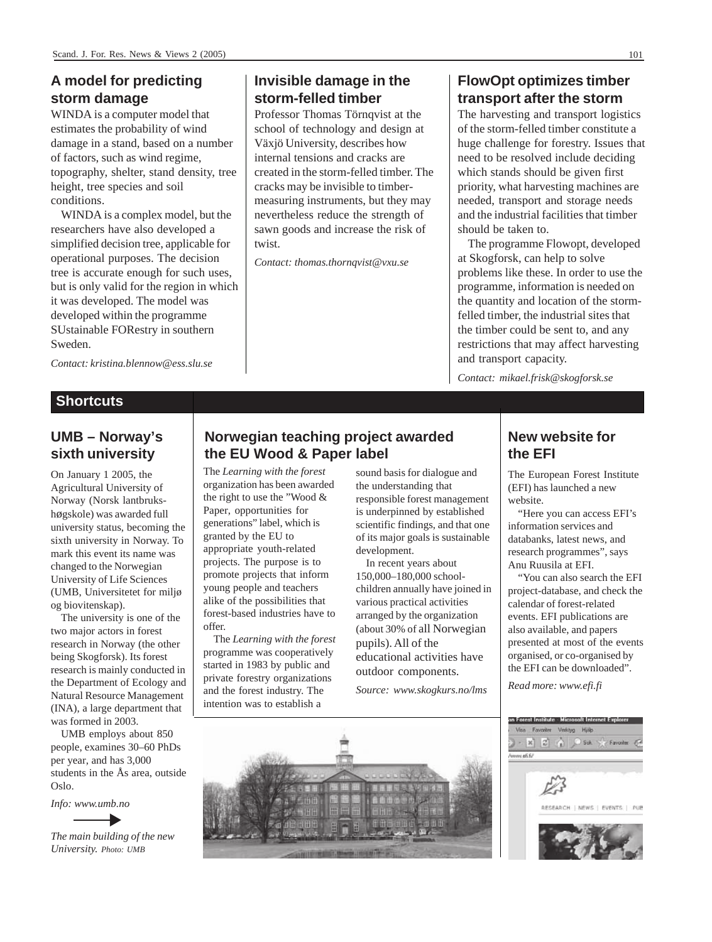# **A model for predicting storm damage**

WINDA is a computer model that estimates the probability of wind damage in a stand, based on a number of factors, such as wind regime, topography, shelter, stand density, tree height, tree species and soil conditions.

WINDA is a complex model, but the researchers have also developed a simplified decision tree, applicable for operational purposes. The decision tree is accurate enough for such uses, but is only valid for the region in which it was developed. The model was developed within the programme SUstainable FORestry in southern Sweden.

*Contact: kristina.blennow@ess.slu.se*

# **Shortcuts**

# **UMB – Norway's sixth university**

On January 1 2005, the Agricultural University of Norway (Norsk lantbrukshøgskole) was awarded full university status, becoming the sixth university in Norway. To mark this event its name was changed to the Norwegian University of Life Sciences (UMB, Universitetet for miljø og biovitenskap).

The university is one of the two major actors in forest research in Norway (the other being Skogforsk). Its forest research is mainly conducted in the Department of Ecology and Natural Resource Management (INA), a large department that was formed in 2003.

UMB employs about 850 people, examines 30–60 PhDs per year, and has 3,000 students in the Ås area, outside Oslo.

*Info: www.umb.no*

▶ *The main building of the new University. Photo: UMB*

# **Norwegian teaching project awarded the EU Wood & Paper label**

**Invisible damage in the storm-felled timber**

Professor Thomas Törnqvist at the school of technology and design at Växjö University, describes how internal tensions and cracks are created in the storm-felled timber. The cracks may be invisible to timbermeasuring instruments, but they may nevertheless reduce the strength of sawn goods and increase the risk of

*Contact: thomas.thornqvist@vxu.se*

The *Learning with the forest* organization has been awarded the right to use the "Wood & Paper, opportunities for generations" label, which is granted by the EU to appropriate youth-related projects. The purpose is to promote projects that inform young people and teachers alike of the possibilities that forest-based industries have to offer.

twist.

The *Learning with the forest* programme was cooperatively started in 1983 by public and private forestry organizations and the forest industry. The intention was to establish a

sound basis for dialogue and the understanding that responsible forest management is underpinned by established scientific findings, and that one of its major goals is sustainable development.

In recent years about 150,000–180,000 schoolchildren annually have joined in various practical activities arranged by the organization (about 30% of all Norwegian pupils). All of the educational activities have outdoor components.

*Source: www.skogkurs.no/lms*

# *Contact: mikael.frisk@skogforsk.se*

The programme Flowopt, developed

problems like these. In order to use the programme, information is needed on the quantity and location of the stormfelled timber, the industrial sites that the timber could be sent to, and any restrictions that may affect harvesting

at Skogforsk, can help to solve

**FlowOpt optimizes timber transport after the storm** The harvesting and transport logistics of the storm-felled timber constitute a huge challenge for forestry. Issues that need to be resolved include deciding which stands should be given first priority, what harvesting machines are needed, transport and storage needs and the industrial facilities that timber

should be taken to.

and transport capacity.

# **New website for the EFI**

The European Forest Institute (EFI) has launched a new website.

"Here you can access EFI's information services and databanks, latest news, and research programmes", says Anu Ruusila at EFI.

"You can also search the EFI project-database, and check the calendar of forest-related events. EFI publications are also available, and papers presented at most of the events organised, or co-organised by the EFI can be downloaded".

*Read more: www.efi.fi*